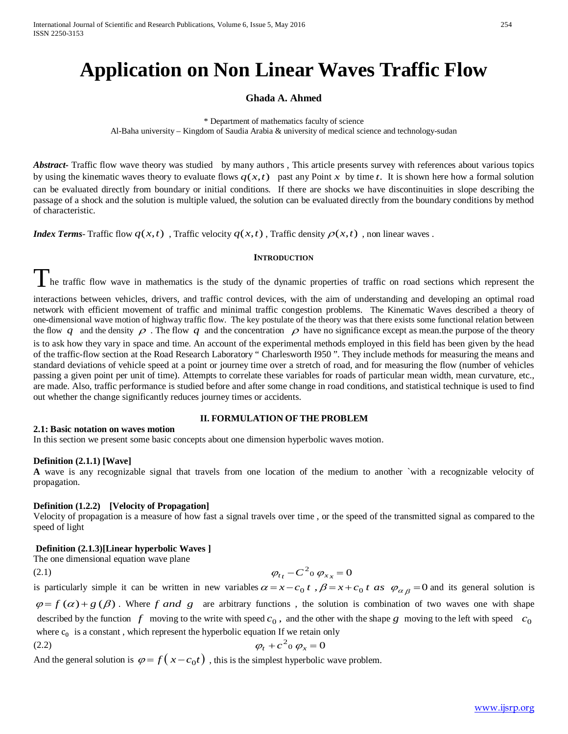# **Application on Non Linear Waves Traffic Flow**

## **Ghada A. Ahmed**

\* Department of mathematics faculty of science Al-Baha university – Kingdom of Saudia Arabia & university of medical science and technology-sudan

*Abstract***-** Traffic flow wave theory was studied by many authors , This article presents survey with references about various topics by using the kinematic waves theory to evaluate flows  $q(x,t)$  past any Point x by time t. It is shown here how a formal solution can be evaluated directly from boundary or initial conditions. If there are shocks we have discontinuities in slope describing the passage of a shock and the solution is multiple valued, the solution can be evaluated directly from the boundary conditions by method of characteristic.

*Index Terms*- Traffic flow  $q(x,t)$ , Traffic velocity  $q(x,t)$ , Traffic density  $\rho(x,t)$ , non linear waves .

#### **INTRODUCTION**

The traffic flow wave in mathematics is the study of the dynamic properties of traffic on road sections which represent the

interactions between vehicles, drivers, and traffic control devices, with the aim of understanding and developing an optimal road network with efficient movement of traffic and minimal traffic congestion problems. The Kinematic Waves described a theory of one-dimensional wave motion of highway traffic flow. The key postulate of the theory was that there exists some functional relation between the flow *q* and the density  $\rho$ . The flow *q* and the concentration  $\rho$  have no significance except as mean.the purpose of the theory is to ask how they vary in space and time. An account of the experimental methods employed in this field has been given by the head of the traffic-flow section at the Road Research Laboratory " Charlesworth I950 ". They include methods for measuring the means and standard deviations of vehicle speed at a point or journey time over a stretch of road, and for measuring the flow (number of vehicles passing a given point per unit of time). Attempts to correlate these variables for roads of particular mean width, mean curvature, etc., are made. Also, traffic performance is studied before and after some change in road conditions, and statistical technique is used to find out whether the change significantly reduces journey times or accidents.

#### **II. FORMULATION OF THE PROBLEM**

#### **2.1: Basic notation on waves motion**

In this section we present some basic concepts about one dimension hyperbolic waves motion.

#### **Definition (2.1.1) [Wave]**

**A** wave is any recognizable signal that travels from one location of the medium to another `with a recognizable velocity of propagation.

#### **Definition (1.2.2) [Velocity of Propagation]**

Velocity of propagation is a measure of how fast a signal travels over time , or the speed of the transmitted signal as compared to the speed of light

#### **Definition (2.1.3)[Linear hyperbolic Waves ]**

The one dimensional equation wave plane

$$
\varphi_{t} - C^2 \circ \varphi_{xx} = 0
$$

is particularly simple it can be written in new variables  $\alpha = x - c_0 t$ ,  $\beta = x + c_0 t$  *as*  $\varphi_{\alpha\beta} = 0$  and its general solution is  $\varphi = f(\alpha) + g(\beta)$ . Where *f* and *g* are arbitrary functions, the solution is combination of two waves one with shape described by the function f moving to the write with speed  $c_0$ , and the other with the shape g moving to the left with speed  $c_0$ where  $c_0$  is a constant, which represent the hyperbolic equation If we retain only

$$
\varphi_t + c^2 \mathbf{0} \, \varphi_x = 0
$$

And the general solution is  $\varphi = f(x - c_0 t)$ , this is the simplest hyperbolic wave problem.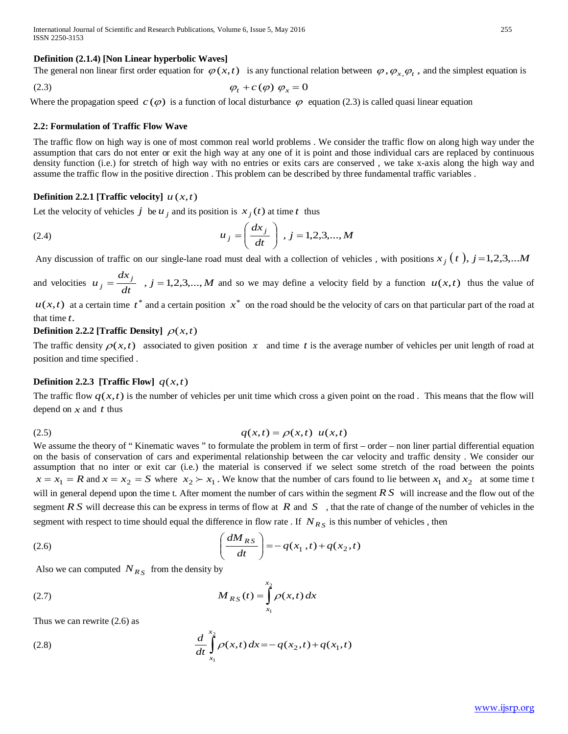## **Definition (2.1.4) [Non Linear hyperbolic Waves]**

The general non linear first order equation for  $\varphi(x,t)$  is any functional relation between  $\varphi, \varphi_x, \varphi_t$ , and the simplest equation is

$$
\varphi_t + c \left( \varphi \right) \varphi_x = 0
$$

Where the propagation speed  $c(\varphi)$  is a function of local disturbance  $\varphi$  equation (2.3) is called quasi linear equation

## **2.2: Formulation of Traffic Flow Wave**

The traffic flow on high way is one of most common real world problems . We consider the traffic flow on along high way under the assumption that cars do not enter or exit the high way at any one of it is point and those individual cars are replaced by continuous density function (i.e.) for stretch of high way with no entries or exits cars are conserved , we take x-axis along the high way and assume the traffic flow in the positive direction . This problem can be described by three fundamental traffic variables .

## **Definition 2.2.1** [Traffic velocity]  $u(x,t)$

Let the velocity of vehicles *j* be  $u_j$  and its position is  $x_j(t)$  at time *t* thus

(2.4) 
$$
u_j = \left(\frac{dx_j}{dt}\right), j = 1, 2, 3, ..., M
$$

Any discussion of traffic on our single-lane road must deal with a collection of vehicles, with positions  $x_j(t)$ ,  $j=1,2,3,...M$ 

and velocities  $u_j = \frac{ax_j}{y_j}$ ,  $j = 1, 2, 3, ..., M$ *dt*  $u_j = \frac{dx_j}{dt}$ ,  $j = 1, 2, 3, ..., M$  and so we may define a velocity field by a function  $u(x, t)$  thus the value of

 $u(x,t)$  at a certain time  $t^*$  and a certain position  $x^*$  on the road should be the velocity of cars on that particular part of the road at that time *t*.

## **Definition 2.2.2 [Traffic Density]**  $\rho(x,t)$

The traffic density  $\rho(x,t)$  associated to given position x and time t is the average number of vehicles per unit length of road at position and time specified .

## **Definition 2.2.3** [Traffic Flow]  $q(x,t)$

The traffic flow  $q(x,t)$  is the number of vehicles per unit time which cross a given point on the road. This means that the flow will depend on *x* and *t* thus

$$
(2.5) \qquad \qquad q(x,t) = \rho(x,t) \ u(x,t)
$$

We assume the theory of "Kinematic waves" to formulate the problem in term of first – order – non liner partial differential equation on the basis of conservation of cars and experimental relationship between the car velocity and traffic density . We consider our assumption that no inter or exit car (i.e.) the material is conserved if we select some stretch of the road between the points  $x = x_1 = R$  and  $x = x_2 = S$  where  $x_2 \succ x_1$ . We know that the number of cars found to lie between  $x_1$  and  $x_2$  at some time t will in general depend upon the time t. After moment the number of cars within the segment *R S* will increase and the flow out of the segment *R S* will decrease this can be express in terms of flow at *R* and *S* , that the rate of change of the number of vehicles in the segment with respect to time should equal the difference in flow rate . If  $N_{RS}$  is this number of vehicles, then

$$
(2.6)\qquad \qquad \left(\frac{dM_{RS}}{dt}\right) = -q(x_1,t) + q(x_2,t)
$$

Also we can computed  $N_{RS}$  from the density by

(2.7) 
$$
M_{RS}(t) = \int_{x_1}^{x_2} \rho(x, t) dx
$$

Thus we can rewrite (2.6) as

(2.8) 
$$
\frac{d}{dt} \int_{x_1}^{x_2} \rho(x,t) dx = -q(x_2,t) + q(x_1,t)
$$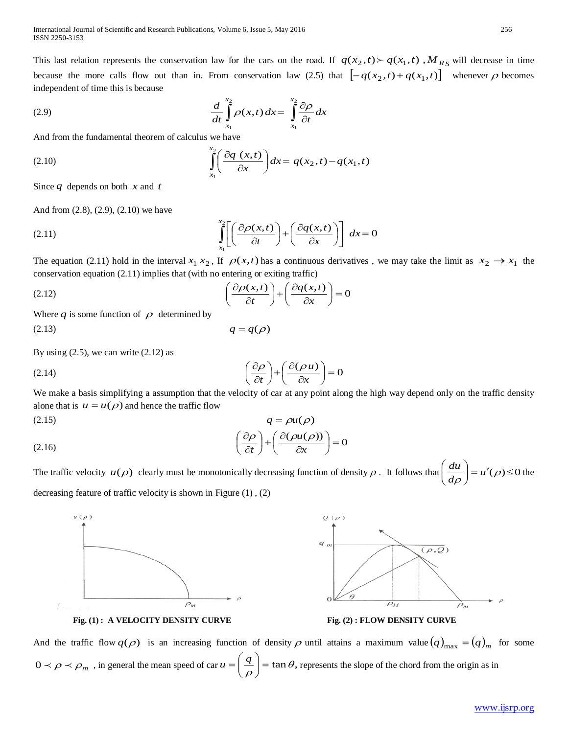International Journal of Scientific and Research Publications, Volume 6, Issue 5, May 2016 256 ISSN 2250-3153

This last relation represents the conservation law for the cars on the road. If  $q(x_2,t) \succ q(x_1,t)$ ,  $M_{RS}$  will decrease in time because the more calls flow out than in. From conservation law (2.5) that  $[-q(x_2,t)+q(x_1,t)]$  whenever  $\rho$  becomes independent of time this is because

(2.9) 
$$
\frac{d}{dt} \int_{x_1}^{x_2} \rho(x,t) dx = \int_{x_1}^{x_2} \frac{\partial \rho}{\partial t} dx
$$

And from the fundamental theorem of calculus we have

(2.10) 
$$
\int_{x_1}^{x_2} \left( \frac{\partial q(x,t)}{\partial x} \right) dx = q(x_2,t) - q(x_1,t)
$$

Since *q* depends on both *x* and *t*

And from (2.8), (2.9), (2.10) we have

(2.11) 
$$
\int_{x_1}^{x_2} \left[ \left( \frac{\partial \rho(x,t)}{\partial t} \right) + \left( \frac{\partial q(x,t)}{\partial x} \right) \right] dx = 0
$$

The equation (2.11) hold in the interval  $x_1 x_2$ , If  $\rho(x,t)$  has a continuous derivatives, we may take the limit as  $x_2 \rightarrow x_1$  the conservation equation (2.11) implies that (with no entering or exiting traffic)

(2.12) 
$$
\left(\frac{\partial \rho(x,t)}{\partial t}\right) + \left(\frac{\partial q(x,t)}{\partial x}\right) = 0
$$

Where *q* is some function of  $\rho$  determined by

$$
(2.13) \t q = q(\rho)
$$

By using  $(2.5)$ , we can write  $(2.12)$  as

 $u(\rho)$ 

$$
(2.14) \qquad \qquad \left(\frac{\partial \rho}{\partial t}\right) + \left(\frac{\partial (\rho u)}{\partial x}\right) = 0
$$

We make a basis simplifying a assumption that the velocity of car at any point along the high way depend only on the traffic density alone that is  $u = u(\rho)$  and hence the traffic flow

(2.15)  
\n
$$
q = \rho u(\rho)
$$
\n
$$
\left(\frac{\partial \rho}{\partial t}\right) + \left(\frac{\partial (\rho u(\rho))}{\partial x}\right) = 0
$$

The traffic velocity  $u(\rho)$  clearly must be monotonically decreasing function of density  $\rho$ . It follows that  $\left|\frac{du}{d\rho}\right| = u'(\rho) \le 0$  $\big)$  $\lambda$  $\overline{\phantom{a}}$  $\setminus$  $\left(\frac{du}{du}\right) = u'(\rho)$  $\left(\frac{u}{\rho}\right) = u$ *d*  $\left(\frac{du}{dt}\right) = u'(\rho) \leq 0$  the decreasing feature of traffic velocity is shown in Figure (1) , (2)



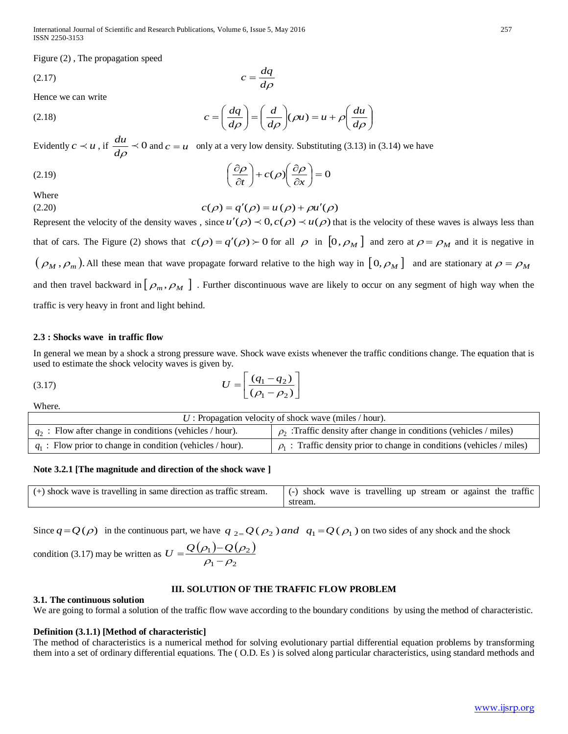International Journal of Scientific and Research Publications, Volume 6, Issue 5, May 2016 257 ISSN 2250-3153

Figure (2) , The propagation speed

$$
c = \frac{dq}{d\rho}
$$

Hence we can write

(2.18) 
$$
c = \left(\frac{dq}{d\rho}\right) = \left(\frac{d}{d\rho}\right)(\rho u) = u + \rho\left(\frac{du}{d\rho}\right)
$$

Evidently  $c \prec u$ , if  $\frac{du}{d\rho} \prec 0$  and  $c = u$  only at a very low density. Substituting (3.13) in (3.14) we have

(2.19) 
$$
\left(\frac{\partial \rho}{\partial t}\right) + c(\rho) \left(\frac{\partial \rho}{\partial x}\right) = 0
$$

Where

$$
c(\rho) = q'(\rho) = u(\rho) + \rho u'(\rho)
$$

Represent the velocity of the density waves, since  $u'(\rho) \prec 0$ ,  $c(\rho) \prec u(\rho)$  that is the velocity of these waves is always less than that of cars. The Figure (2) shows that  $c(\rho) = q'(\rho) > 0$  for all  $\rho$  in  $[0, \rho_M]$  and zero at  $\rho = \rho_M$  and it is negative in  $(\rho_M, \rho_m)$ . All these mean that wave propagate forward relative to the high way in  $[0, \rho_M]$  and are stationary at  $\rho = \rho_M$ and then travel backward in  $[\rho_m, \rho_M]$ . Further discontinuous wave are likely to occur on any segment of high way when the traffic is very heavy in front and light behind.

## **2.3 : Shocks wave in traffic flow**

In general we mean by a shock a strong pressure wave. Shock wave exists whenever the traffic conditions change. The equation that is used to estimate the shock velocity waves is given by.

(3.17) 
$$
U = \left[ \frac{(q_1 - q_2)}{(\rho_1 - \rho_2)} \right]
$$

Where.

| $U$ : Propagation velocity of shock wave (miles / hour).     |                                                                             |
|--------------------------------------------------------------|-----------------------------------------------------------------------------|
| $q_2$ : Flow after change in conditions (vehicles / hour).   | $\rho_2$ : Traffic density after change in conditions (vehicles / miles)    |
| $q_1$ : Flow prior to change in condition (vehicles / hour). | $\rho_1$ : Traffic density prior to change in conditions (vehicles / miles) |

#### **Note 3.2.1 [The magnitude and direction of the shock wave ]**

| $(+)$ shock wave is travelling in same direction as traffic stream. $(+)$ shock wave is travelling up stream or against the traffic |         |
|-------------------------------------------------------------------------------------------------------------------------------------|---------|
|                                                                                                                                     | stream. |

Since  $q = Q(\rho)$  in the continuous part, we have  $q_{2} = Q(\rho_2)$  *and*  $q_1 = Q(\rho_1)$  on two sides of any shock and the shock

condition (3.17) may be written as  $U = \frac{\mathcal{Q}(\rho_1) - \mathcal{Q}(\rho_2)}{\rho_1}$  $P_1 - \rho_2$  $\frac{1}{2}$  ) – Q( $\rho_2$  $\rho_{\text{\tiny{l}}}$  –  $\rho_{\text{\tiny{l}}}$  $\rho_1$ )– $Q(\rho_1)$  $U = \frac{Q(\rho_1) - Q}{\rho_1 - \rho_2}$ 

#### **III. SOLUTION OF THE TRAFFIC FLOW PROBLEM**

#### **3.1. The continuous solution**

We are going to formal a solution of the traffic flow wave according to the boundary conditions by using the method of characteristic.

## **Definition (3.1.1) [Method of characteristic]**

The method of characteristics is a numerical method for solving evolutionary partial differential equation problems by transforming them into a set of ordinary differential equations. The ( O.D. Es ) is solved along particular characteristics, using standard methods and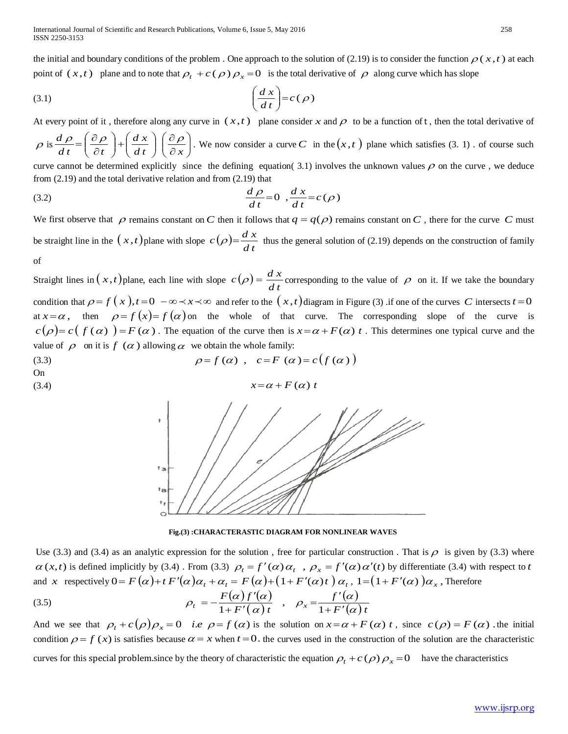the initial and boundary conditions of the problem. One approach to the solution of (2.19) is to consider the function  $\rho(x,t)$  at each point of  $(x, t)$  plane and to note that  $\rho_t + c(\rho) \rho_x = 0$  is the total derivative of  $\rho$  along curve which has slope

$$
(3.1) \qquad \qquad \left(\frac{dx}{dt}\right) = c\left(\rho\right)
$$

At every point of it, therefore along any curve in  $(x, t)$  plane consider x and  $\rho$  to be a function of t, then the total derivative of  $\lambda$ ſ ∂  $\lambda$  $+$  $\lambda$ ſ

 $\rho$  is  $\frac{d\rho}{dt} = \left| \frac{\partial \rho}{\partial t} \right| + \left| \frac{dx}{dt} \right| \left| \frac{\partial \rho}{\partial x} \right|$  $\big)$  $\overline{\phantom{a}}$  $\setminus$ ∂  $\vert$  $\big)$  $\overline{\phantom{a}}$  $\overline{\mathcal{L}}$ J  $\overline{\phantom{a}}$  $\setminus$  $=\left(\frac{\partial \rho}{\partial t}\right) + \left(\frac{dx}{dt}\right)\left(\frac{\partial \rho}{\partial x}\right)$  $\frac{d\rho}{dt} = \left(\frac{\partial \rho}{\partial t}\right) + \left(\frac{dx}{dt}\right) \left(\frac{\partial \rho}{\partial x}\right)$ . We now consider a curve *C* in the  $(x, t)$  plane which satisfies (3. 1) . of course such curve cannot be determined explicitly since the defining equation( 3.1) involves the unknown values  $\rho$  on the curve, we deduce

from (2.19) and the total derivative relation and from (2.19) that

$$
\frac{d\rho}{dt} = 0 \, , \frac{d\,x}{dt} = c\,(\rho)
$$

We first observe that  $\rho$  remains constant on *C* then it follows that  $q = q(\rho)$  remains constant on *C*, there for the curve *C* must be straight line in the  $(x, t)$  plane with slope  $c(\rho) = \frac{dx}{dt}$  thus the general solution of (2.19) depends on the construction of family of

Straight lines in  $(x, t)$  plane, each line with slope  $c(\rho) = \frac{dx}{dt}$  corresponding to the value of  $\rho$  on it. If we take the boundary condition that  $\rho = f(x)$ ,  $t = 0$  –  $\infty \prec x \prec \infty$  and refer to the  $(x, t)$  diagram in Figure (3) if one of the curves *C* intersects  $t = 0$ at  $x = \alpha$ , then  $\rho = f(x) = f(\alpha)$  on the whole of that curve. The corresponding slope of the curve is  $c(\rho) = c(f(\alpha)) = F(\alpha)$ . The equation of the curve then is  $x = \alpha + F(\alpha) t$ . This determines one typical curve and the value of  $\rho$  on it is  $f(\alpha)$  allowing  $\alpha$  we obtain the whole family:

(3.3)  
\n
$$
\rho = f(\alpha) , c = F(\alpha) = c(f(\alpha))
$$
\nOn  
\n(3.4)  
\n
$$
x = \alpha + F(\alpha) t
$$



 **Fig.(3) :CHARACTERASTIC DIAGRAM FOR NONLINEAR WAVES**

Use (3.3) and (3.4) as an analytic expression for the solution, free for particular construction. That is  $\rho$  is given by (3.3) where  $\alpha(x,t)$  is defined implicitly by (3.4). From (3.3)  $\rho_t = f'(\alpha) \alpha_t$ ,  $\rho_x = f'(\alpha) \alpha'(t)$  by differentiate (3.4) with respect to *t* and *x* respectively  $0 = F(\alpha) + t F'(\alpha) \alpha_t + \alpha_t = F(\alpha) + (1 + F'(\alpha)t) \alpha_t$ ,  $1 = (1 + F'(\alpha)) \alpha_x$ , Therefore

(3.5) 
$$
\rho_t = -\frac{F(\alpha)f'(\alpha)}{1+F'(\alpha)t} , \quad \rho_x = \frac{f'(\alpha)}{1+F'(\alpha)t}
$$

And we see that  $\rho_t + c(\rho)\rho_x = 0$  *i.e.*  $\rho = f(\alpha)$  is the solution on  $x = \alpha + F(\alpha)$  *t*, since  $c(\rho) = F(\alpha)$ . the initial condition  $\rho = f(x)$  is satisfies because  $\alpha = x$  when  $t = 0$ . the curves used in the construction of the solution are the characteristic curves for this special problem since by the theory of characteristic the equation  $\rho_t + c(\rho)\rho_x = 0$  have the characteristics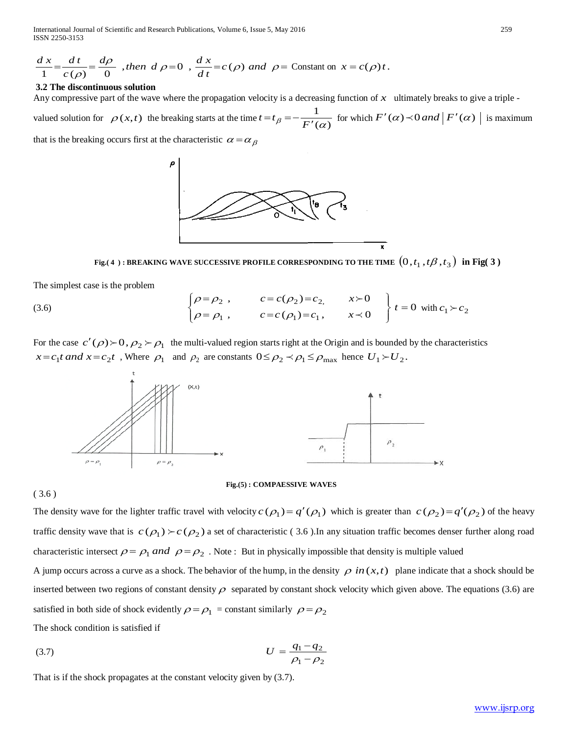International Journal of Scientific and Research Publications, Volume 6, Issue 5, May 2016 259 ISSN 2250-3153

$$
\frac{dx}{1} = \frac{dt}{c(\rho)} = \frac{d\rho}{0}
$$
, then  $d\rho = 0$ ,  $\frac{dx}{dt} = c(\rho)$  and  $\rho = \text{Constant on } x = c(\rho)t$ .

#### **3.2 The discontinuous solution**

Any compressive part of the wave where the propagation velocity is a decreasing function of  $x$  ultimately breaks to give a triple -

valued solution for  $\rho(x,t)$  the breaking starts at the time  $t = t_\beta = -\frac{1}{F'(\alpha)}$  $t = t_\beta = -\frac{1}{F'(\alpha)}$  for which  $F'(\alpha) \prec 0$  *and*  $|F'(\alpha)|$  is maximum

that is the breaking occurs first at the characteristic  $\alpha = \alpha_{\beta}$ 



 **Fig.(4): BREAKING WAVE SUCCESSIVE PROFILE CORRESPONDING TO THE TIME**  $(0, t_1, t\beta, t_3)$  **in Fig( 3)** 

The simplest case is the problem

(3.6) 
$$
\begin{cases} \rho = \rho_2, & c = c(\rho_2) = c_2, & x \succ 0 \\ \rho = \rho_1, & c = c(\rho_1) = c_1, & x \prec 0 \end{cases} t = 0 \text{ with } c_1 \succ c_2
$$

For the case  $c'(\rho)$  > 0,  $\rho_2$  >  $\rho_1$  the multi-valued region starts right at the Origin and is bounded by the characteristics  $x = c_1 t$  *and*  $x = c_2 t$ , Where  $\rho_1$  and  $\rho_2$  are constants  $0 \le \rho_2 \prec \rho_1 \le \rho_{\text{max}}$  hence  $U_1 \succ U_2$ .



#### **Fig.(5) : COMPAESSIVE WAVES**

The density wave for the lighter traffic travel with velocity  $c(\rho_1) = q'(\rho_1)$  which is greater than  $c(\rho_2) = q'(\rho_2)$  of the heavy traffic density wave that is  $c(\rho_1) \succ c(\rho_2)$  a set of characteristic (3.6).In any situation traffic becomes denser further along road characteristic intersect  $\rho = \rho_1$  and  $\rho = \rho_2$ . Note : But in physically impossible that density is multiple valued

A jump occurs across a curve as a shock. The behavior of the hump, in the density  $\rho$  *in* (*x*,*t*) plane indicate that a shock should be inserted between two regions of constant density  $\rho$  separated by constant shock velocity which given above. The equations (3.6) are satisfied in both side of shock evidently  $\rho = \rho_1$  = constant similarly  $\rho = \rho_2$ 

The shock condition is satisfied if

( 3.6 )

$$
(3.7) \t\t U = \frac{q_1 - q_2}{\rho_1 - \rho_2}
$$

That is if the shock propagates at the constant velocity given by (3.7).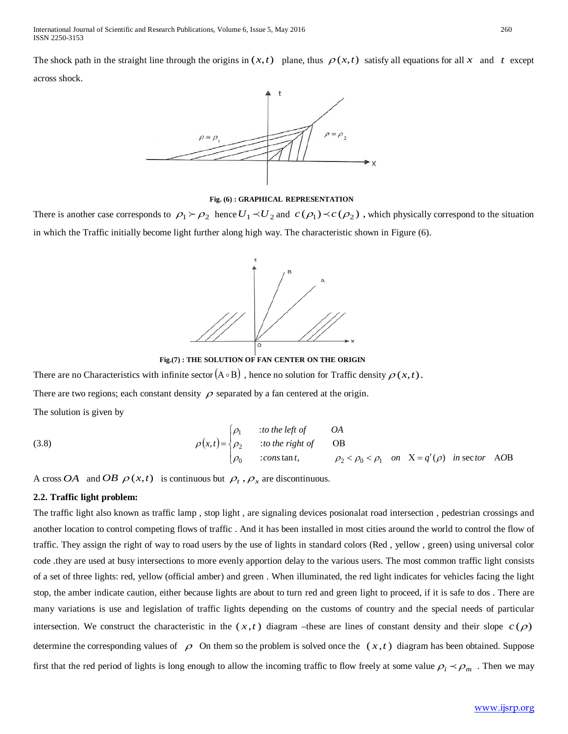The shock path in the straight line through the origins in  $(x, t)$  plane, thus  $\rho(x, t)$  satisfy all equations for all x and t except across shock.



## **Fig. (6) : GRAPHICAL REPRESENTATION**

There is another case corresponds to  $\rho_1 \succ \rho_2$  hence  $U_1 \prec U_2$  and  $c (\rho_1) \prec c (\rho_2)$ , which physically correspond to the situation in which the Traffic initially become light further along high way. The characteristic shown in Figure (6).



## **Fig.(7) : THE SOLUTION OF FAN CENTER ON THE ORIGIN**

There are no Characteristics with infinite sector  $(A \circ B)$ , hence no solution for Traffic density  $\rho(x,t)$ .

There are two regions; each constant density  $\rho$  separated by a fan centered at the origin.

The solution is given by

(3.8) 
$$
\rho(x,t) = \begin{cases} \rho_1 & \text{:to the left of} \\ \rho_2 & \text{:to the right of} \\ \rho_0 & \text{:constan }t, \end{cases} \quad \text{OB}
$$

$$
\rho_2 < \rho_0 < \rho_1 \quad \text{on} \quad X = q'(\rho) \quad \text{in sector AOB}
$$

A cross *OA* and *OB*  $\rho(x,t)$  is continuous but  $\rho_t$ ,  $\rho_x$  are discontinuous.

#### **2.2. Traffic light problem:**

The traffic light also known as traffic lamp , stop light , are signaling devices posionalat road intersection , pedestrian crossings and another location to control competing flows of traffic . And it has been installed in most cities around the world to control the flow of traffic. They assign the right of way to road users by the use of lights in standard colors (Red , yellow , green) using universal color code .they are used at busy intersections to more evenly apportion delay to the various users. The most common traffic light consists of a set of three lights: red, yellow (official amber) and green . When illuminated, the red light indicates for vehicles facing the light stop, the amber indicate caution, either because lights are about to turn red and green light to proceed, if it is safe to dos . There are many variations is use and legislation of traffic lights depending on the customs of country and the special needs of particular intersection. We construct the characteristic in the  $(x,t)$  diagram –these are lines of constant density and their slope  $c(\rho)$ determine the corresponding values of  $\rho$  On them so the problem is solved once the  $(x, t)$  diagram has been obtained. Suppose first that the red period of lights is long enough to allow the incoming traffic to flow freely at some value  $\rho_i \prec \rho_m$ . Then we may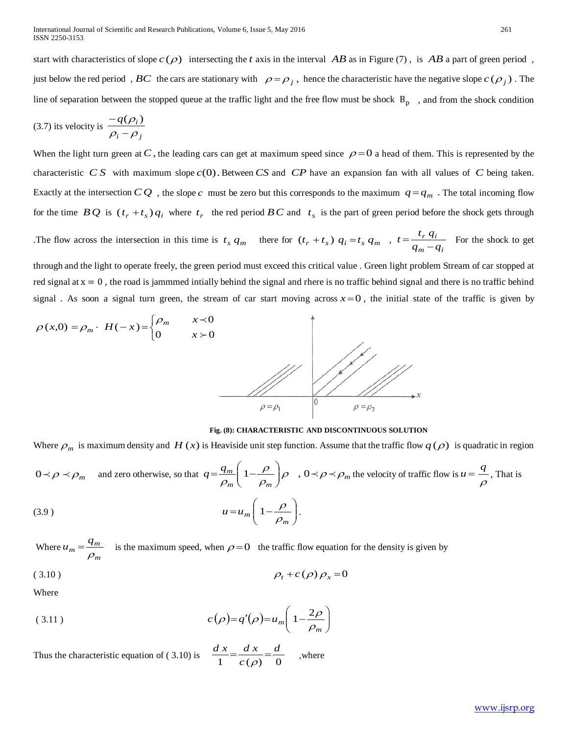start with characteristics of slope  $c(\rho)$  intersecting the *t* axis in the interval AB as in Figure (7), is AB a part of green period, just below the red period, *BC* the cars are stationary with  $\rho = \rho_i$ , hence the characteristic have the negative slope  $c(\rho_i)$ . The line of separation between the stopped queue at the traffic light and the free flow must be shock  $B_p$ , and from the shock condition

(3.7) its velocity is 
$$
\frac{-q(\rho_i)}{\rho_i - \rho_j}
$$

When the light turn green at C, the leading cars can get at maximum speed since  $\rho = 0$  a head of them. This is represented by the characteristic *C S* with maximum slope *c*(0). Between *CS* and *CP* have an expansion fan with all values of *C* being taken. Exactly at the intersection  $CQ$ , the slope *c* must be zero but this corresponds to the maximum  $q = q_m$ . The total incoming flow for the time  $BQ$  is  $(t_r + t_s)q_i$  where  $t_r$  the red period  $BC$  and  $t_s$  is the part of green period before the shock gets through

The flow across the intersection in this time is  $t_s q_m$  there for  $(t_r + t_s) q_i = t_s q_m$ ,  $t = \frac{t_r q_i}{q_m - q_i}$ . *r i*  $t = \frac{t_r q_i}{q_m - q_i}$  For the shock to get

through and the light to operate freely, the green period must exceed this critical value . Green light problem Stream of car stopped at red signal at  $x = 0$ , the road is jammmed intially behind the signal and rhere is no traffic behind signal and there is no traffic behind signal . As soon a signal turn green, the stream of car start moving across  $x=0$ , the initial state of the traffic is given by



#### **Fig. (8): CHARACTERISTIC AND DISCONTINUOUS SOLUTION**

Where  $\rho_m$  is maximum density and  $H(x)$  is Heaviside unit step function. Assume that the traffic flow  $q(\rho)$  is quadratic in region

$$
0 \prec \rho \prec \rho_m
$$
 and zero otherwise, so that  $q = \frac{q_m}{\rho_m} \left( 1 - \frac{\rho}{\rho_m} \right) \rho$ ,  $0 \prec \rho \prec \rho_m$  the velocity of traffic flow is  $u = \frac{q}{\rho}$ . That is

$$
(3.9) \t u = u_m \left( 1 - \frac{\rho}{\rho_m} \right).
$$

Where *m*  $u_m = \frac{q_m}{\rho_m}$  is the maximum speed, when  $\rho = 0$  the traffic flow equation for the density is given by

$$
\rho_t + c(\rho)\rho_x = 0
$$

Where

$$
(3.11)
$$
 
$$
c(\rho) = q'(\rho) = u_m \left(1 - \frac{2\rho}{\rho_m}\right)
$$

Thus the characteristic equation of ( 3.10) is  $\frac{dS}{1} = \frac{dS}{c(\rho)} = \frac{dS}{0}$ *d c*  $\frac{dx}{dt} = \frac{dx}{dt} =$  $\frac{\pi}{\rho} = \frac{\pi}{0}$ , where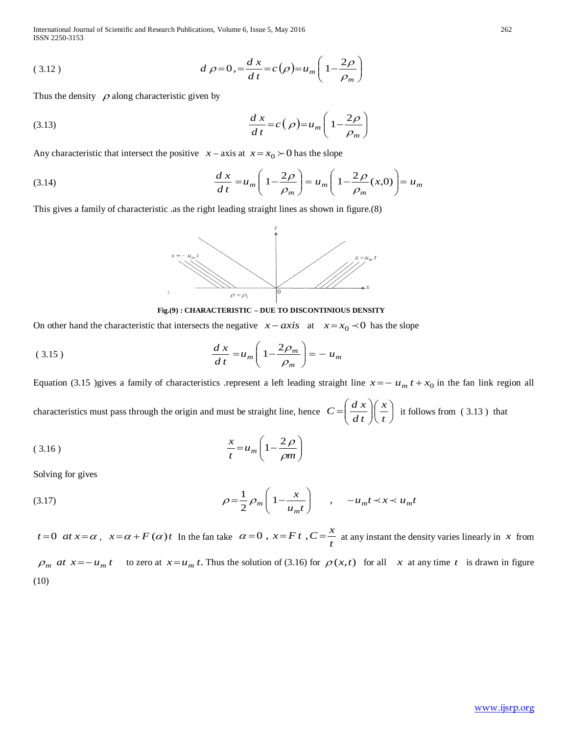International Journal of Scientific and Research Publications, Volume 6, Issue 5, May 2016 262 ISSN 2250-3153

$$
(3.12) \t d\rho = 0, = \frac{dx}{dt} = c(\rho) = u_m \left( 1 - \frac{2\rho}{\rho_m} \right)
$$

Thus the density  $\rho$  along characteristic given by

(3.13) 
$$
\frac{dx}{dt} = c(\rho) = u_m \left(1 - \frac{2\rho}{\rho_m}\right)
$$

Any characteristic that intersect the positive  $x - axis$  at  $x = x_0 > 0$  has the slope

(3.14) 
$$
\frac{d x}{d t} = u_m \left( 1 - \frac{2\rho}{\rho_m} \right) = u_m \left( 1 - \frac{2\rho}{\rho_m} (x, 0) \right) = u_m
$$

This gives a family of characteristic .as the right leading straight lines as shown in figure.(8)



 **Fig.(9) : CHARACTERISTIC – DUE TO DISCONTINIOUS DENSITY**

On other hand the characteristic that intersects the negative  $x - axis$  at  $x = x_0 \lt 0$  has the slope

$$
(3.15) \qquad \frac{dx}{dt} = u_m \left( 1 - \frac{2\rho_m}{\rho_m} \right) = -u_m
$$

Equation (3.15 )gives a family of characteristics .represent a left leading straight line  $x = -u_m t + x_0$  in the fan link region all

characteristics must pass through the origin and must be straight line, hence  $C = \frac{d \lambda}{d \lambda} || \frac{\lambda}{d \lambda} ||$ J  $\left(\frac{x}{x}\right)$  $\setminus$ ſ  $\overline{\phantom{a}}$ J  $\setminus$  $\overline{\phantom{a}}$  $\setminus$  $=\left(\frac{d x}{d t}\right)\left(\frac{x}{t}\right)$ *d t*  $C = \left(\frac{dx}{dx}\right)\left(\frac{x}{x}\right)$  it follows from (3.13) that

$$
(3.16)\qquad \qquad \frac{x}{t} = u_m \left(1 - \frac{2\rho}{\rho m}\right)
$$

Solving for gives

$$
\rho = \frac{1}{2} \rho_m \left( 1 - \frac{x}{u_m t} \right) \quad , \quad -u_m t \prec x \prec u_m t
$$

*t* = 0 *at x* =  $\alpha$ , *x* =  $\alpha$  + *F* ( $\alpha$ )*t* In the fan take  $\alpha$  = 0, *x* = *F t*, *C* =  $\frac{x}{t}$  $\alpha = 0$ ,  $x = F t$ ,  $C = \frac{x}{x}$  at any instant the density varies linearly in *x* from  $\rho_m$  *at*  $x = -u_m t$  to zero at  $x = u_m t$ . Thus the solution of (3.16) for  $\rho(x, t)$  for all *x* at any time *t* is drawn in figure (10)